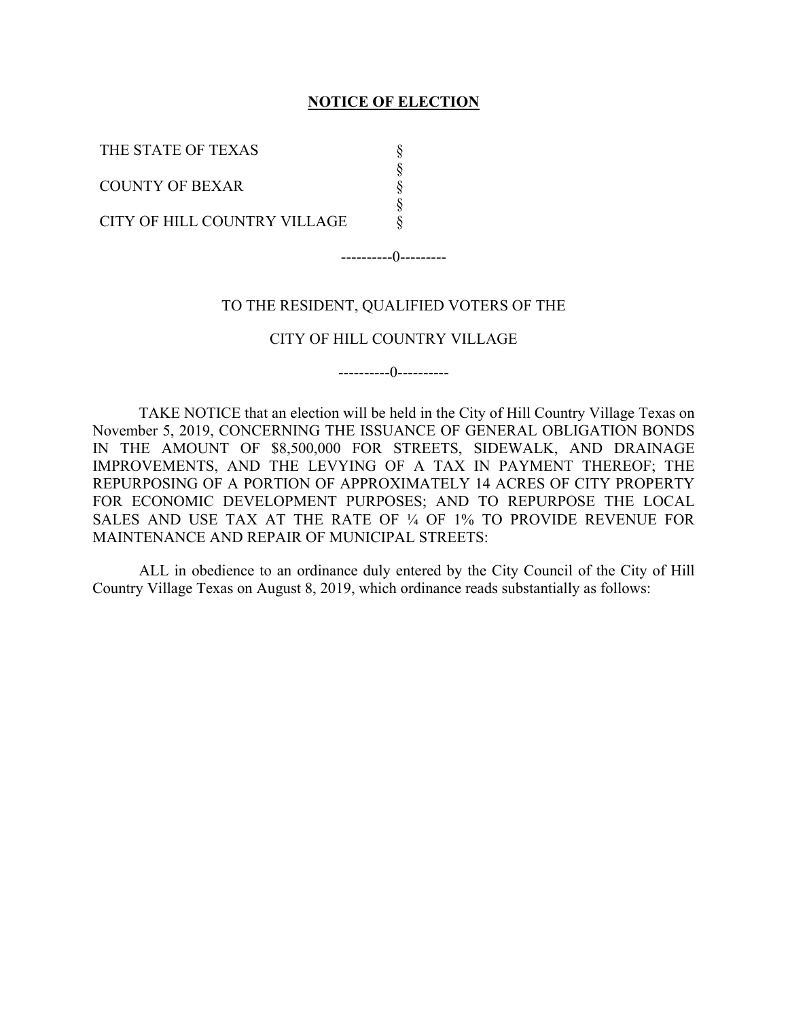#### **NOTICE OF ELECTION**

§ § § § §

THE STATE OF TEXAS

COUNTY OF BEXAR

CITY OF HILL COUNTRY VILLAGE

----------0---------

#### TO THE RESIDENT, QUALIFIED VOTERS OF THE

#### CITY OF HILL COUNTRY VILLAGE

----------0----------

TAKE NOTICE that an election will be held in the City of Hill Country Village Texas on November 5, 2019, CONCERNING THE ISSUANCE OF GENERAL OBLIGATION BONDS IN THE AMOUNT OF \$8,500,000 FOR STREETS, SIDEWALK, AND DRAINAGE IMPROVEMENTS, AND THE LEVYING OF A TAX IN PAYMENT THEREOF; THE REPURPOSING OF A PORTION OF APPROXIMATELY 14 ACRES OF CITY PROPERTY FOR ECONOMIC DEVELOPMENT PURPOSES; AND TO REPURPOSE THE LOCAL SALES AND USE TAX AT THE RATE OF ¼ OF 1% TO PROVIDE REVENUE FOR MAINTENANCE AND REPAIR OF MUNICIPAL STREETS:

ALL in obedience to an ordinance duly entered by the City Council of the City of Hill Country Village Texas on August 8, 2019, which ordinance reads substantially as follows: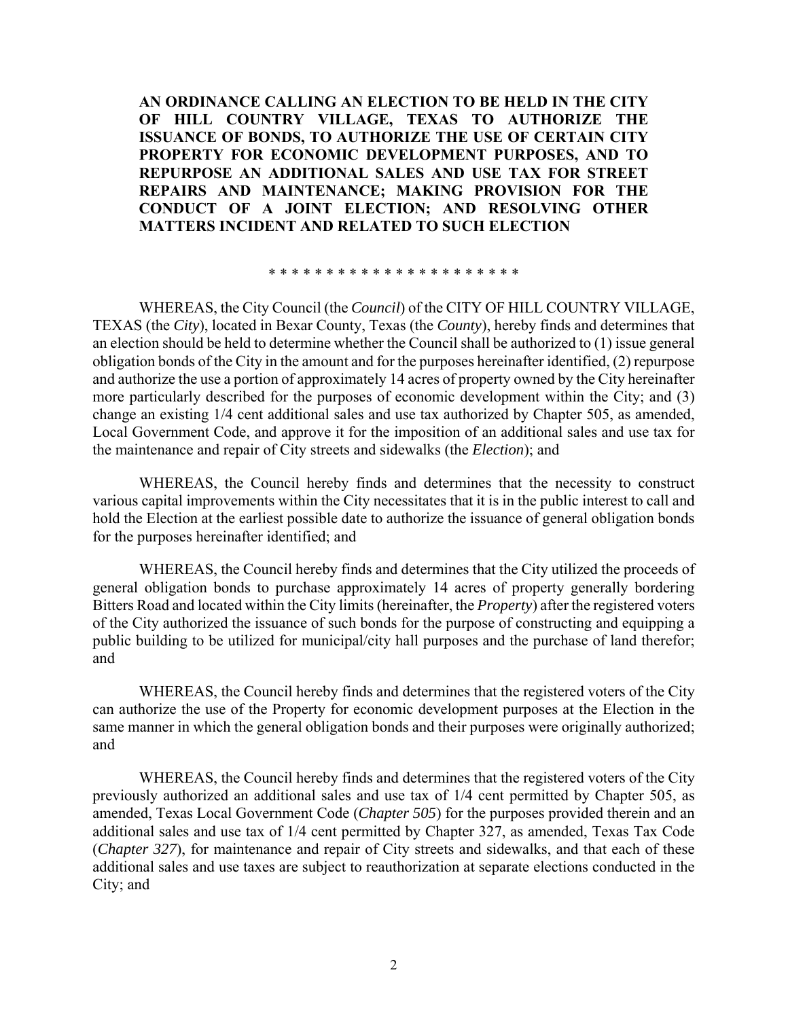**AN ORDINANCE CALLING AN ELECTION TO BE HELD IN THE CITY OF HILL COUNTRY VILLAGE, TEXAS TO AUTHORIZE THE ISSUANCE OF BONDS, TO AUTHORIZE THE USE OF CERTAIN CITY PROPERTY FOR ECONOMIC DEVELOPMENT PURPOSES, AND TO REPURPOSE AN ADDITIONAL SALES AND USE TAX FOR STREET REPAIRS AND MAINTENANCE; MAKING PROVISION FOR THE CONDUCT OF A JOINT ELECTION; AND RESOLVING OTHER MATTERS INCIDENT AND RELATED TO SUCH ELECTION** 

\* \* \* \* \* \* \* \* \* \* \* \* \* \* \* \* \* \* \* \* \* \*

WHEREAS, the City Council (the *Council*) of the CITY OF HILL COUNTRY VILLAGE, TEXAS (the *City*), located in Bexar County, Texas (the *County*), hereby finds and determines that an election should be held to determine whether the Council shall be authorized to (1) issue general obligation bonds of the City in the amount and for the purposes hereinafter identified, (2) repurpose and authorize the use a portion of approximately 14 acres of property owned by the City hereinafter more particularly described for the purposes of economic development within the City; and (3) change an existing 1/4 cent additional sales and use tax authorized by Chapter 505, as amended, Local Government Code, and approve it for the imposition of an additional sales and use tax for the maintenance and repair of City streets and sidewalks (the *Election*); and

WHEREAS, the Council hereby finds and determines that the necessity to construct various capital improvements within the City necessitates that it is in the public interest to call and hold the Election at the earliest possible date to authorize the issuance of general obligation bonds for the purposes hereinafter identified; and

WHEREAS, the Council hereby finds and determines that the City utilized the proceeds of general obligation bonds to purchase approximately 14 acres of property generally bordering Bitters Road and located within the City limits (hereinafter, the *Property*) after the registered voters of the City authorized the issuance of such bonds for the purpose of constructing and equipping a public building to be utilized for municipal/city hall purposes and the purchase of land therefor; and

WHEREAS, the Council hereby finds and determines that the registered voters of the City can authorize the use of the Property for economic development purposes at the Election in the same manner in which the general obligation bonds and their purposes were originally authorized; and

WHEREAS, the Council hereby finds and determines that the registered voters of the City previously authorized an additional sales and use tax of 1/4 cent permitted by Chapter 505, as amended, Texas Local Government Code (*Chapter 505*) for the purposes provided therein and an additional sales and use tax of 1/4 cent permitted by Chapter 327, as amended, Texas Tax Code (*Chapter 327*), for maintenance and repair of City streets and sidewalks, and that each of these additional sales and use taxes are subject to reauthorization at separate elections conducted in the City; and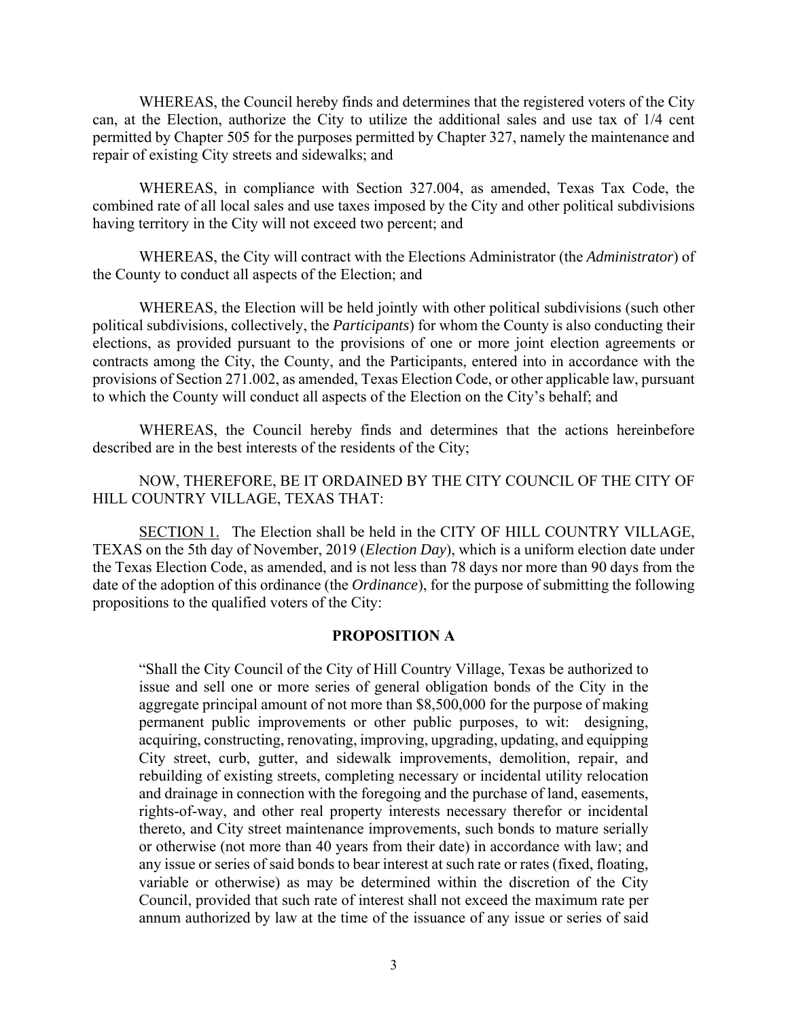WHEREAS, the Council hereby finds and determines that the registered voters of the City can, at the Election, authorize the City to utilize the additional sales and use tax of 1/4 cent permitted by Chapter 505 for the purposes permitted by Chapter 327, namely the maintenance and repair of existing City streets and sidewalks; and

WHEREAS, in compliance with Section 327.004, as amended, Texas Tax Code, the combined rate of all local sales and use taxes imposed by the City and other political subdivisions having territory in the City will not exceed two percent; and

WHEREAS, the City will contract with the Elections Administrator (the *Administrator*) of the County to conduct all aspects of the Election; and

WHEREAS, the Election will be held jointly with other political subdivisions (such other political subdivisions, collectively, the *Participants*) for whom the County is also conducting their elections, as provided pursuant to the provisions of one or more joint election agreements or contracts among the City, the County, and the Participants, entered into in accordance with the provisions of Section 271.002, as amended, Texas Election Code, or other applicable law, pursuant to which the County will conduct all aspects of the Election on the City's behalf; and

WHEREAS, the Council hereby finds and determines that the actions hereinbefore described are in the best interests of the residents of the City;

NOW, THEREFORE, BE IT ORDAINED BY THE CITY COUNCIL OF THE CITY OF HILL COUNTRY VILLAGE, TEXAS THAT:

SECTION 1. The Election shall be held in the CITY OF HILL COUNTRY VILLAGE, TEXAS on the 5th day of November, 2019 (*Election Day*), which is a uniform election date under the Texas Election Code, as amended, and is not less than 78 days nor more than 90 days from the date of the adoption of this ordinance (the *Ordinance*), for the purpose of submitting the following propositions to the qualified voters of the City:

### **PROPOSITION A**

"Shall the City Council of the City of Hill Country Village, Texas be authorized to issue and sell one or more series of general obligation bonds of the City in the aggregate principal amount of not more than \$8,500,000 for the purpose of making permanent public improvements or other public purposes, to wit: designing, acquiring, constructing, renovating, improving, upgrading, updating, and equipping City street, curb, gutter, and sidewalk improvements, demolition, repair, and rebuilding of existing streets, completing necessary or incidental utility relocation and drainage in connection with the foregoing and the purchase of land, easements, rights-of-way, and other real property interests necessary therefor or incidental thereto, and City street maintenance improvements, such bonds to mature serially or otherwise (not more than 40 years from their date) in accordance with law; and any issue or series of said bonds to bear interest at such rate or rates (fixed, floating, variable or otherwise) as may be determined within the discretion of the City Council, provided that such rate of interest shall not exceed the maximum rate per annum authorized by law at the time of the issuance of any issue or series of said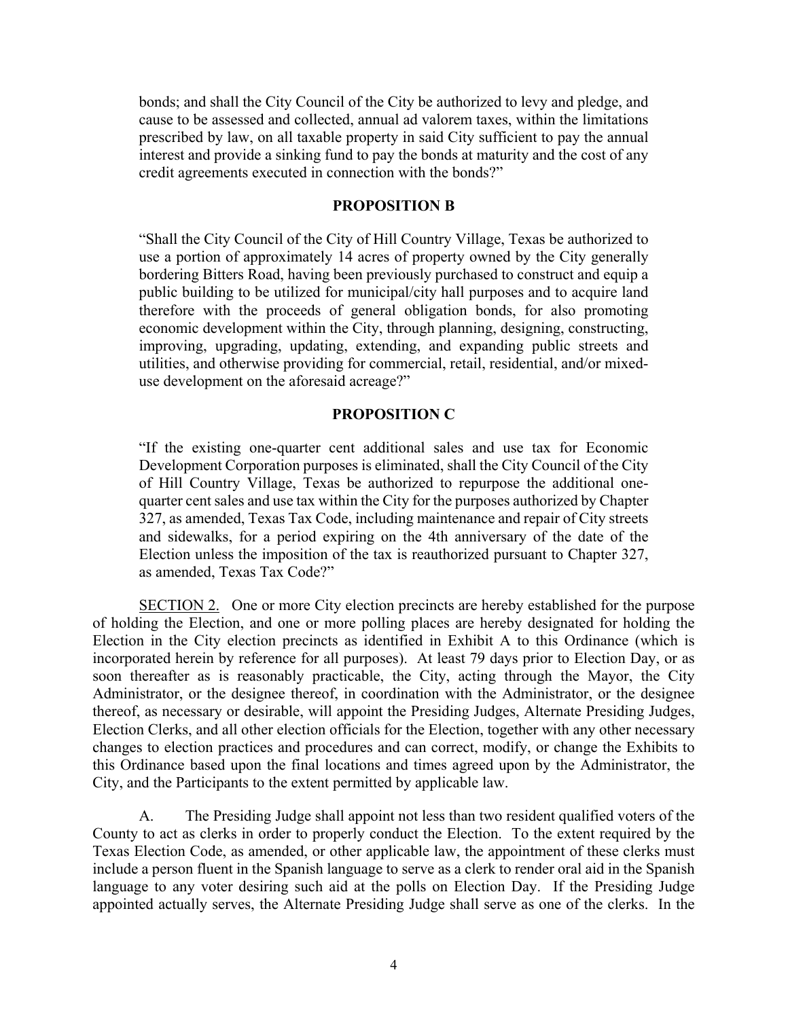bonds; and shall the City Council of the City be authorized to levy and pledge, and cause to be assessed and collected, annual ad valorem taxes, within the limitations prescribed by law, on all taxable property in said City sufficient to pay the annual interest and provide a sinking fund to pay the bonds at maturity and the cost of any credit agreements executed in connection with the bonds?"

### **PROPOSITION B**

"Shall the City Council of the City of Hill Country Village, Texas be authorized to use a portion of approximately 14 acres of property owned by the City generally bordering Bitters Road, having been previously purchased to construct and equip a public building to be utilized for municipal/city hall purposes and to acquire land therefore with the proceeds of general obligation bonds, for also promoting economic development within the City, through planning, designing, constructing, improving, upgrading, updating, extending, and expanding public streets and utilities, and otherwise providing for commercial, retail, residential, and/or mixeduse development on the aforesaid acreage?"

#### **PROPOSITION C**

"If the existing one-quarter cent additional sales and use tax for Economic Development Corporation purposes is eliminated, shall the City Council of the City of Hill Country Village, Texas be authorized to repurpose the additional onequarter cent sales and use tax within the City for the purposes authorized by Chapter 327, as amended, Texas Tax Code, including maintenance and repair of City streets and sidewalks, for a period expiring on the 4th anniversary of the date of the Election unless the imposition of the tax is reauthorized pursuant to Chapter 327, as amended, Texas Tax Code?"

SECTION 2. One or more City election precincts are hereby established for the purpose of holding the Election, and one or more polling places are hereby designated for holding the Election in the City election precincts as identified in Exhibit A to this Ordinance (which is incorporated herein by reference for all purposes). At least 79 days prior to Election Day, or as soon thereafter as is reasonably practicable, the City, acting through the Mayor, the City Administrator, or the designee thereof, in coordination with the Administrator, or the designee thereof, as necessary or desirable, will appoint the Presiding Judges, Alternate Presiding Judges, Election Clerks, and all other election officials for the Election, together with any other necessary changes to election practices and procedures and can correct, modify, or change the Exhibits to this Ordinance based upon the final locations and times agreed upon by the Administrator, the City, and the Participants to the extent permitted by applicable law.

A. The Presiding Judge shall appoint not less than two resident qualified voters of the County to act as clerks in order to properly conduct the Election. To the extent required by the Texas Election Code, as amended, or other applicable law, the appointment of these clerks must include a person fluent in the Spanish language to serve as a clerk to render oral aid in the Spanish language to any voter desiring such aid at the polls on Election Day. If the Presiding Judge appointed actually serves, the Alternate Presiding Judge shall serve as one of the clerks. In the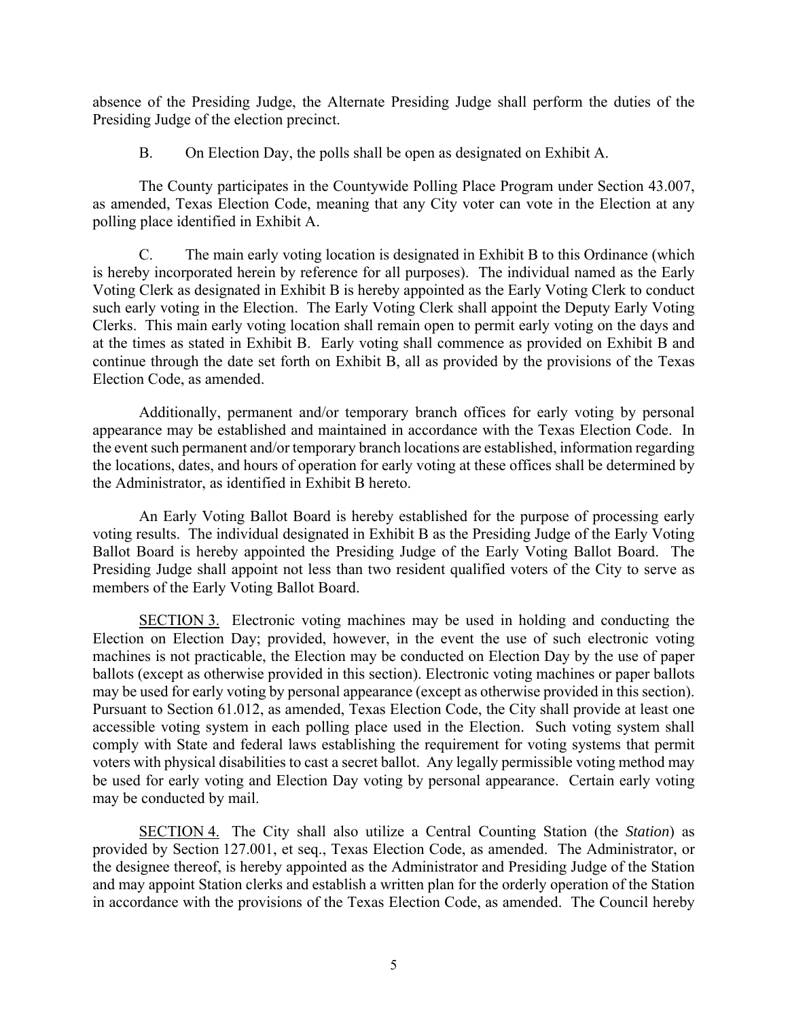absence of the Presiding Judge, the Alternate Presiding Judge shall perform the duties of the Presiding Judge of the election precinct.

B. On Election Day, the polls shall be open as designated on Exhibit A.

The County participates in the Countywide Polling Place Program under Section 43.007, as amended, Texas Election Code, meaning that any City voter can vote in the Election at any polling place identified in Exhibit A.

C. The main early voting location is designated in Exhibit B to this Ordinance (which is hereby incorporated herein by reference for all purposes). The individual named as the Early Voting Clerk as designated in Exhibit B is hereby appointed as the Early Voting Clerk to conduct such early voting in the Election. The Early Voting Clerk shall appoint the Deputy Early Voting Clerks. This main early voting location shall remain open to permit early voting on the days and at the times as stated in Exhibit B. Early voting shall commence as provided on Exhibit B and continue through the date set forth on Exhibit B, all as provided by the provisions of the Texas Election Code, as amended.

Additionally, permanent and/or temporary branch offices for early voting by personal appearance may be established and maintained in accordance with the Texas Election Code. In the event such permanent and/or temporary branch locations are established, information regarding the locations, dates, and hours of operation for early voting at these offices shall be determined by the Administrator, as identified in Exhibit B hereto.

An Early Voting Ballot Board is hereby established for the purpose of processing early voting results. The individual designated in Exhibit B as the Presiding Judge of the Early Voting Ballot Board is hereby appointed the Presiding Judge of the Early Voting Ballot Board. The Presiding Judge shall appoint not less than two resident qualified voters of the City to serve as members of the Early Voting Ballot Board.

SECTION 3. Electronic voting machines may be used in holding and conducting the Election on Election Day; provided, however, in the event the use of such electronic voting machines is not practicable, the Election may be conducted on Election Day by the use of paper ballots (except as otherwise provided in this section). Electronic voting machines or paper ballots may be used for early voting by personal appearance (except as otherwise provided in this section). Pursuant to Section 61.012, as amended, Texas Election Code, the City shall provide at least one accessible voting system in each polling place used in the Election. Such voting system shall comply with State and federal laws establishing the requirement for voting systems that permit voters with physical disabilities to cast a secret ballot. Any legally permissible voting method may be used for early voting and Election Day voting by personal appearance. Certain early voting may be conducted by mail.

SECTION 4. The City shall also utilize a Central Counting Station (the *Station*) as provided by Section 127.001, et seq., Texas Election Code, as amended. The Administrator, or the designee thereof, is hereby appointed as the Administrator and Presiding Judge of the Station and may appoint Station clerks and establish a written plan for the orderly operation of the Station in accordance with the provisions of the Texas Election Code, as amended. The Council hereby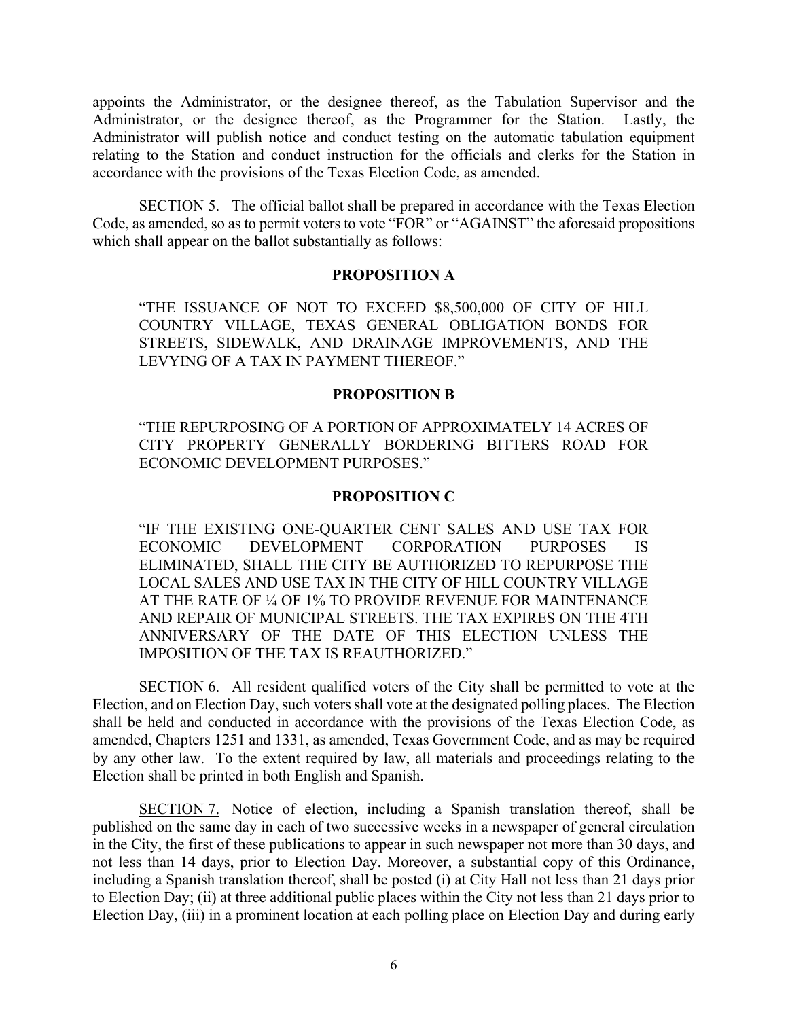appoints the Administrator, or the designee thereof, as the Tabulation Supervisor and the Administrator, or the designee thereof, as the Programmer for the Station. Lastly, the Administrator will publish notice and conduct testing on the automatic tabulation equipment relating to the Station and conduct instruction for the officials and clerks for the Station in accordance with the provisions of the Texas Election Code, as amended.

SECTION 5. The official ballot shall be prepared in accordance with the Texas Election Code, as amended, so as to permit voters to vote "FOR" or "AGAINST" the aforesaid propositions which shall appear on the ballot substantially as follows:

### **PROPOSITION A**

"THE ISSUANCE OF NOT TO EXCEED \$8,500,000 OF CITY OF HILL COUNTRY VILLAGE, TEXAS GENERAL OBLIGATION BONDS FOR STREETS, SIDEWALK, AND DRAINAGE IMPROVEMENTS, AND THE LEVYING OF A TAX IN PAYMENT THEREOF."

### **PROPOSITION B**

"THE REPURPOSING OF A PORTION OF APPROXIMATELY 14 ACRES OF CITY PROPERTY GENERALLY BORDERING BITTERS ROAD FOR ECONOMIC DEVELOPMENT PURPOSES."

### **PROPOSITION C**

"IF THE EXISTING ONE-QUARTER CENT SALES AND USE TAX FOR ECONOMIC DEVELOPMENT CORPORATION PURPOSES IS ELIMINATED, SHALL THE CITY BE AUTHORIZED TO REPURPOSE THE LOCAL SALES AND USE TAX IN THE CITY OF HILL COUNTRY VILLAGE AT THE RATE OF ¼ OF 1% TO PROVIDE REVENUE FOR MAINTENANCE AND REPAIR OF MUNICIPAL STREETS. THE TAX EXPIRES ON THE 4TH ANNIVERSARY OF THE DATE OF THIS ELECTION UNLESS THE IMPOSITION OF THE TAX IS REAUTHORIZED."

SECTION 6. All resident qualified voters of the City shall be permitted to vote at the Election, and on Election Day, such voters shall vote at the designated polling places. The Election shall be held and conducted in accordance with the provisions of the Texas Election Code, as amended, Chapters 1251 and 1331, as amended, Texas Government Code, and as may be required by any other law. To the extent required by law, all materials and proceedings relating to the Election shall be printed in both English and Spanish.

SECTION 7. Notice of election, including a Spanish translation thereof, shall be published on the same day in each of two successive weeks in a newspaper of general circulation in the City, the first of these publications to appear in such newspaper not more than 30 days, and not less than 14 days, prior to Election Day. Moreover, a substantial copy of this Ordinance, including a Spanish translation thereof, shall be posted (i) at City Hall not less than 21 days prior to Election Day; (ii) at three additional public places within the City not less than 21 days prior to Election Day, (iii) in a prominent location at each polling place on Election Day and during early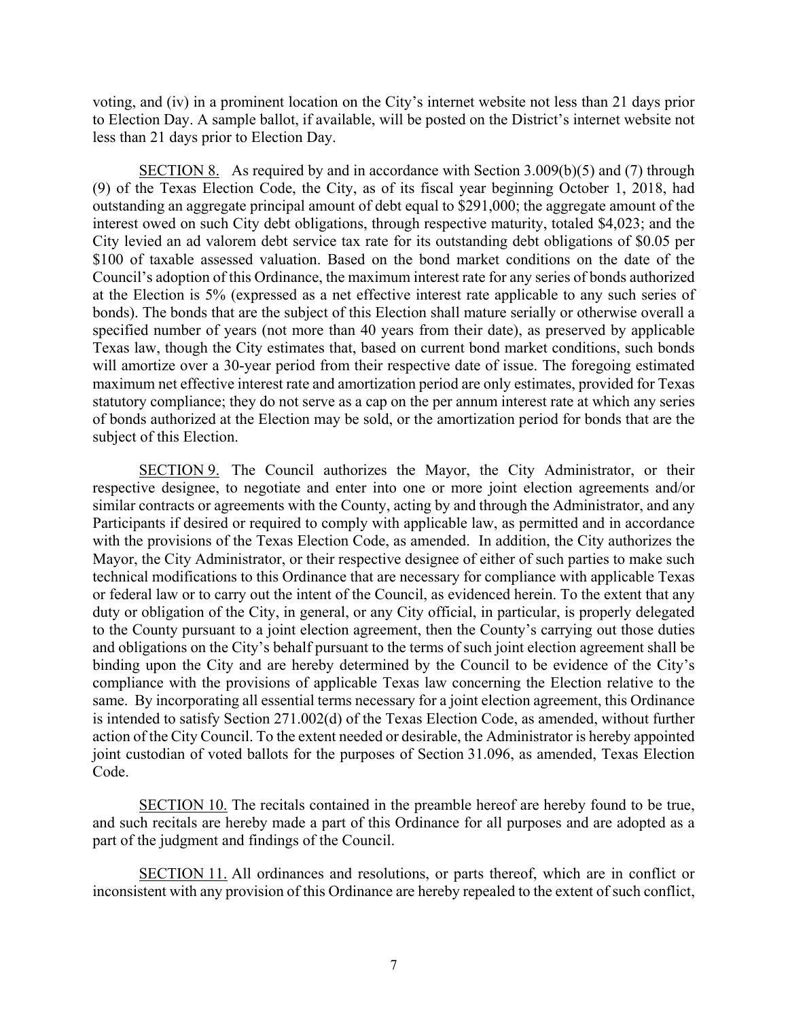voting, and (iv) in a prominent location on the City's internet website not less than 21 days prior to Election Day. A sample ballot, if available, will be posted on the District's internet website not less than 21 days prior to Election Day.

SECTION 8. As required by and in accordance with Section 3.009(b)(5) and (7) through (9) of the Texas Election Code, the City, as of its fiscal year beginning October 1, 2018, had outstanding an aggregate principal amount of debt equal to \$291,000; the aggregate amount of the interest owed on such City debt obligations, through respective maturity, totaled \$4,023; and the City levied an ad valorem debt service tax rate for its outstanding debt obligations of \$0.05 per \$100 of taxable assessed valuation. Based on the bond market conditions on the date of the Council's adoption of this Ordinance, the maximum interest rate for any series of bonds authorized at the Election is 5% (expressed as a net effective interest rate applicable to any such series of bonds). The bonds that are the subject of this Election shall mature serially or otherwise overall a specified number of years (not more than 40 years from their date), as preserved by applicable Texas law, though the City estimates that, based on current bond market conditions, such bonds will amortize over a 30-year period from their respective date of issue. The foregoing estimated maximum net effective interest rate and amortization period are only estimates, provided for Texas statutory compliance; they do not serve as a cap on the per annum interest rate at which any series of bonds authorized at the Election may be sold, or the amortization period for bonds that are the subject of this Election.

SECTION 9. The Council authorizes the Mayor, the City Administrator, or their respective designee, to negotiate and enter into one or more joint election agreements and/or similar contracts or agreements with the County, acting by and through the Administrator, and any Participants if desired or required to comply with applicable law, as permitted and in accordance with the provisions of the Texas Election Code, as amended. In addition, the City authorizes the Mayor, the City Administrator, or their respective designee of either of such parties to make such technical modifications to this Ordinance that are necessary for compliance with applicable Texas or federal law or to carry out the intent of the Council, as evidenced herein. To the extent that any duty or obligation of the City, in general, or any City official, in particular, is properly delegated to the County pursuant to a joint election agreement, then the County's carrying out those duties and obligations on the City's behalf pursuant to the terms of such joint election agreement shall be binding upon the City and are hereby determined by the Council to be evidence of the City's compliance with the provisions of applicable Texas law concerning the Election relative to the same. By incorporating all essential terms necessary for a joint election agreement, this Ordinance is intended to satisfy Section 271.002(d) of the Texas Election Code, as amended, without further action of the City Council. To the extent needed or desirable, the Administrator is hereby appointed joint custodian of voted ballots for the purposes of Section 31.096, as amended, Texas Election Code.

SECTION 10. The recitals contained in the preamble hereof are hereby found to be true, and such recitals are hereby made a part of this Ordinance for all purposes and are adopted as a part of the judgment and findings of the Council.

SECTION 11. All ordinances and resolutions, or parts thereof, which are in conflict or inconsistent with any provision of this Ordinance are hereby repealed to the extent of such conflict,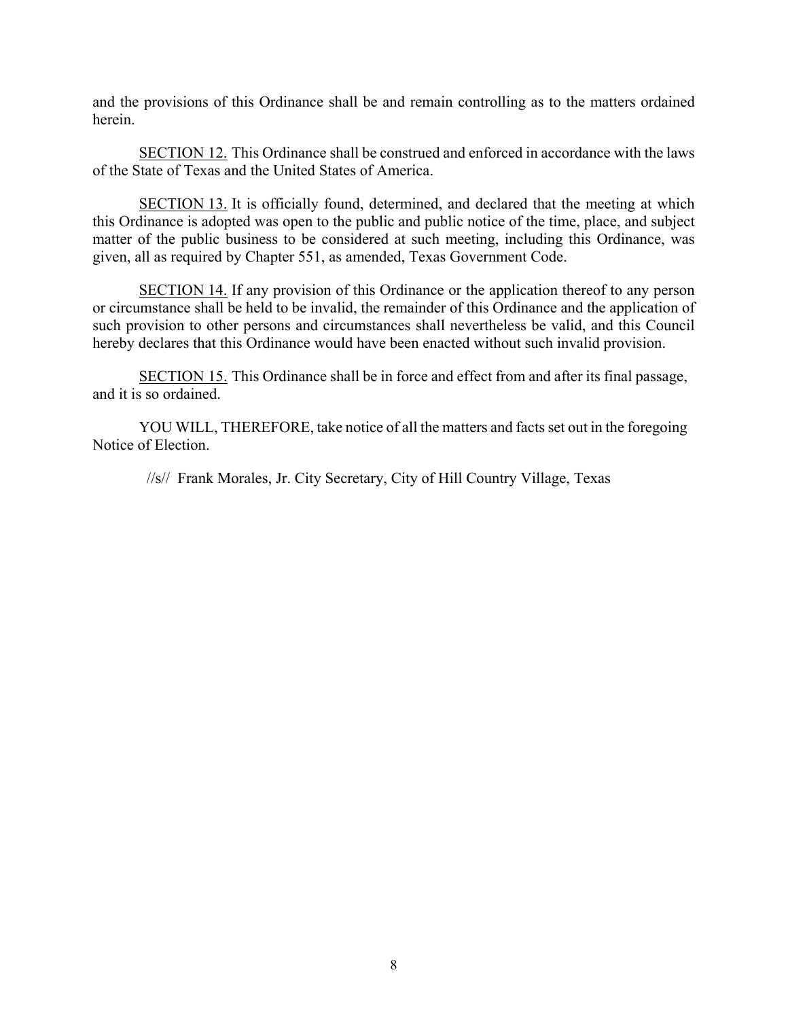and the provisions of this Ordinance shall be and remain controlling as to the matters ordained herein.

SECTION 12. This Ordinance shall be construed and enforced in accordance with the laws of the State of Texas and the United States of America.

SECTION 13. It is officially found, determined, and declared that the meeting at which this Ordinance is adopted was open to the public and public notice of the time, place, and subject matter of the public business to be considered at such meeting, including this Ordinance, was given, all as required by Chapter 551, as amended, Texas Government Code.

SECTION 14. If any provision of this Ordinance or the application thereof to any person or circumstance shall be held to be invalid, the remainder of this Ordinance and the application of such provision to other persons and circumstances shall nevertheless be valid, and this Council hereby declares that this Ordinance would have been enacted without such invalid provision.

SECTION 15. This Ordinance shall be in force and effect from and after its final passage, and it is so ordained.

YOU WILL, THEREFORE, take notice of all the matters and facts set out in the foregoing Notice of Election.

//s// Frank Morales, Jr. City Secretary, City of Hill Country Village, Texas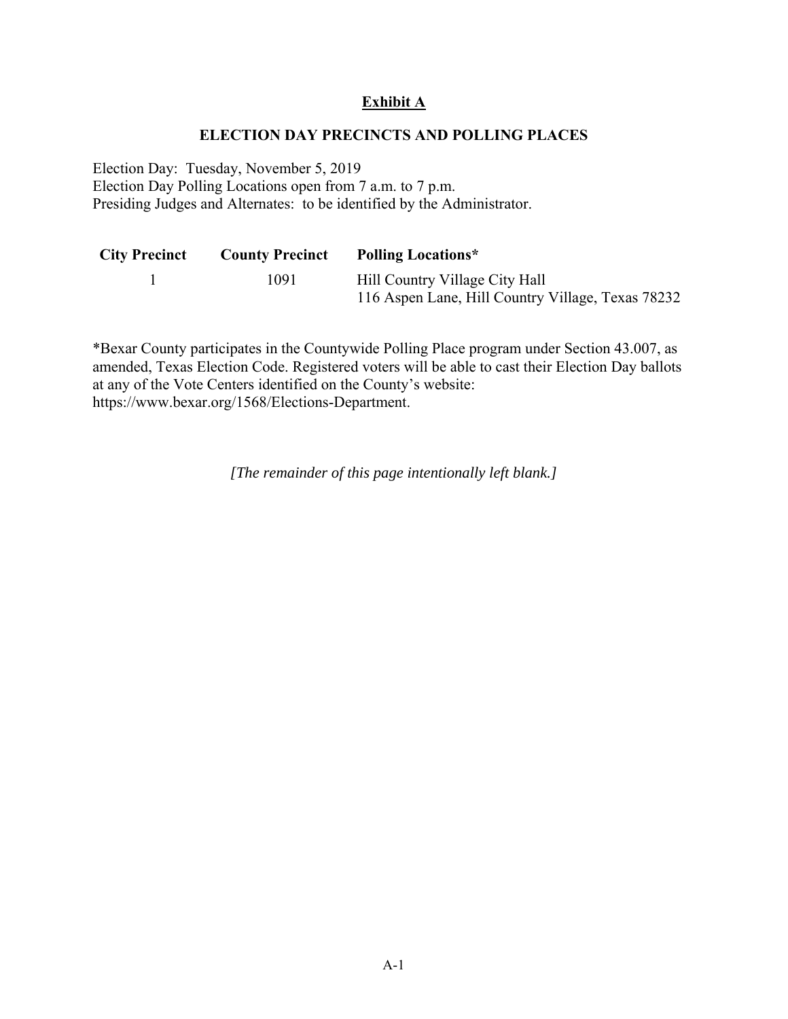# **Exhibit A**

### **ELECTION DAY PRECINCTS AND POLLING PLACES**

Election Day: Tuesday, November 5, 2019 Election Day Polling Locations open from 7 a.m. to 7 p.m. Presiding Judges and Alternates: to be identified by the Administrator.

| <b>City Precinct</b> | <b>County Precinct</b> | <b>Polling Locations*</b>                         |
|----------------------|------------------------|---------------------------------------------------|
|                      | 1091                   | Hill Country Village City Hall                    |
|                      |                        | 116 Aspen Lane, Hill Country Village, Texas 78232 |

\*Bexar County participates in the Countywide Polling Place program under Section 43.007, as amended, Texas Election Code. Registered voters will be able to cast their Election Day ballots at any of the Vote Centers identified on the County's website: https://www.bexar.org/1568/Elections-Department.

*[The remainder of this page intentionally left blank.]*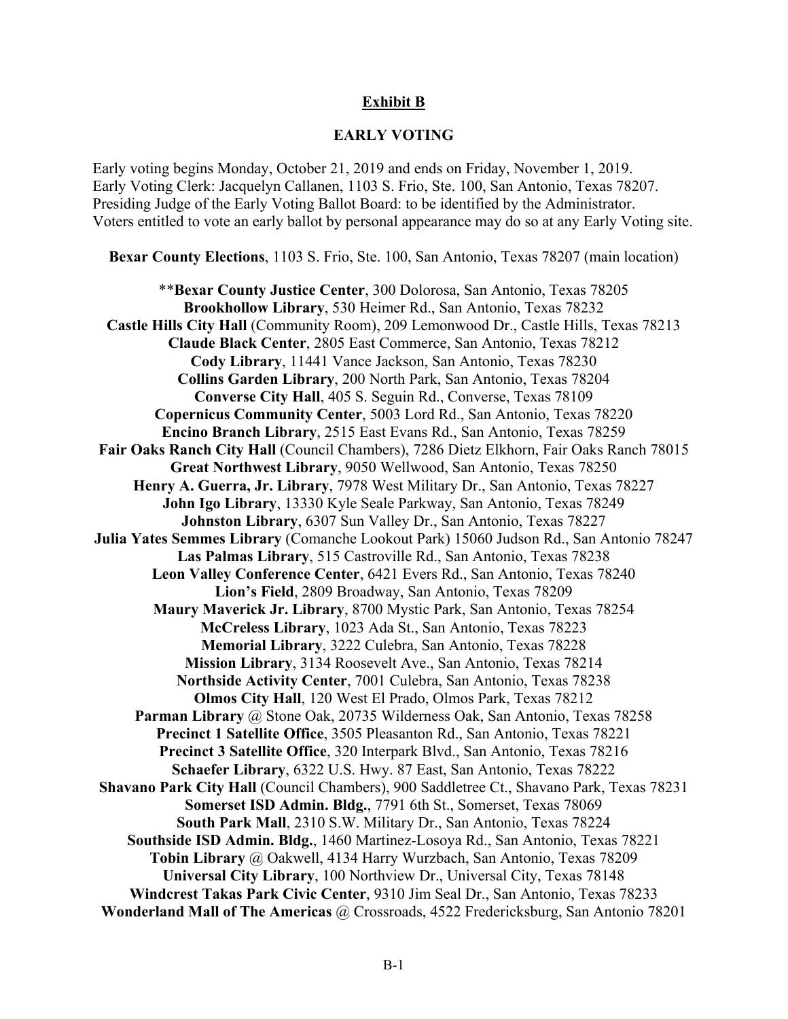## **Exhibit B**

#### **EARLY VOTING**

Early voting begins Monday, October 21, 2019 and ends on Friday, November 1, 2019. Early Voting Clerk: Jacquelyn Callanen, 1103 S. Frio, Ste. 100, San Antonio, Texas 78207. Presiding Judge of the Early Voting Ballot Board: to be identified by the Administrator. Voters entitled to vote an early ballot by personal appearance may do so at any Early Voting site.

**Bexar County Elections**, 1103 S. Frio, Ste. 100, San Antonio, Texas 78207 (main location)

\*\***Bexar County Justice Center**, 300 Dolorosa, San Antonio, Texas 78205 **Brookhollow Library**, 530 Heimer Rd., San Antonio, Texas 78232 **Castle Hills City Hall** (Community Room), 209 Lemonwood Dr., Castle Hills, Texas 78213 **Claude Black Center**, 2805 East Commerce, San Antonio, Texas 78212 **Cody Library**, 11441 Vance Jackson, San Antonio, Texas 78230 **Collins Garden Library**, 200 North Park, San Antonio, Texas 78204 **Converse City Hall**, 405 S. Seguin Rd., Converse, Texas 78109 **Copernicus Community Center**, 5003 Lord Rd., San Antonio, Texas 78220 **Encino Branch Library**, 2515 East Evans Rd., San Antonio, Texas 78259 **Fair Oaks Ranch City Hall** (Council Chambers), 7286 Dietz Elkhorn, Fair Oaks Ranch 78015 **Great Northwest Library**, 9050 Wellwood, San Antonio, Texas 78250 **Henry A. Guerra, Jr. Library**, 7978 West Military Dr., San Antonio, Texas 78227 **John Igo Library**, 13330 Kyle Seale Parkway, San Antonio, Texas 78249 **Johnston Library**, 6307 Sun Valley Dr., San Antonio, Texas 78227 **Julia Yates Semmes Library** (Comanche Lookout Park) 15060 Judson Rd., San Antonio 78247 **Las Palmas Library**, 515 Castroville Rd., San Antonio, Texas 78238 **Leon Valley Conference Center**, 6421 Evers Rd., San Antonio, Texas 78240 **Lion's Field**, 2809 Broadway, San Antonio, Texas 78209 **Maury Maverick Jr. Library**, 8700 Mystic Park, San Antonio, Texas 78254 **McCreless Library**, 1023 Ada St., San Antonio, Texas 78223 **Memorial Library**, 3222 Culebra, San Antonio, Texas 78228 **Mission Library**, 3134 Roosevelt Ave., San Antonio, Texas 78214 **Northside Activity Center**, 7001 Culebra, San Antonio, Texas 78238 **Olmos City Hall**, 120 West El Prado, Olmos Park, Texas 78212 **Parman Library** @ Stone Oak, 20735 Wilderness Oak, San Antonio, Texas 78258 **Precinct 1 Satellite Office**, 3505 Pleasanton Rd., San Antonio, Texas 78221 **Precinct 3 Satellite Office**, 320 Interpark Blvd., San Antonio, Texas 78216 **Schaefer Library**, 6322 U.S. Hwy. 87 East, San Antonio, Texas 78222 **Shavano Park City Hall** (Council Chambers), 900 Saddletree Ct., Shavano Park, Texas 78231 **Somerset ISD Admin. Bldg.**, 7791 6th St., Somerset, Texas 78069 **South Park Mall**, 2310 S.W. Military Dr., San Antonio, Texas 78224 **Southside ISD Admin. Bldg.**, 1460 Martinez-Losoya Rd., San Antonio, Texas 78221 **Tobin Library** @ Oakwell, 4134 Harry Wurzbach, San Antonio, Texas 78209 **Universal City Library**, 100 Northview Dr., Universal City, Texas 78148 **Windcrest Takas Park Civic Center**, 9310 Jim Seal Dr., San Antonio, Texas 78233 **Wonderland Mall of The Americas** @ Crossroads, 4522 Fredericksburg, San Antonio 78201